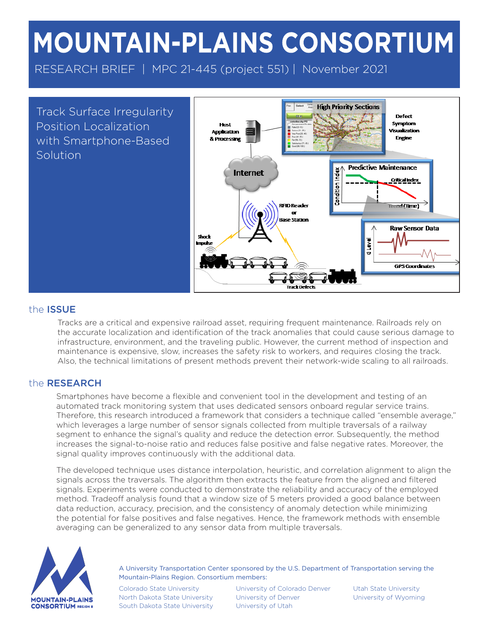# MOUNTAIN-PLAINS CONSORTIUM

RESEARCH BRIEF | MPC 21-445 (project 551) | November 2021

Track Surface Irregularity Position Localization with Smartphone-Based Solution



## the ISSUE

Tracks are a critical and expensive railroad asset, requiring frequent maintenance. Railroads rely on the accurate localization and identification of the track anomalies that could cause serious damage to infrastructure, environment, and the traveling public. However, the current method of inspection and maintenance is expensive, slow, increases the safety risk to workers, and requires closing the track. Also, the technical limitations of present methods prevent their network-wide scaling to all railroads.

## the RESEARCH

Smartphones have become a flexible and convenient tool in the development and testing of an automated track monitoring system that uses dedicated sensors onboard regular service trains. Therefore, this research introduced a framework that considers a technique called "ensemble average," which leverages a large number of sensor signals collected from multiple traversals of a railway segment to enhance the signal's quality and reduce the detection error. Subsequently, the method increases the signal-to-noise ratio and reduces false positive and false negative rates. Moreover, the signal quality improves continuously with the additional data.

The developed technique uses distance interpolation, heuristic, and correlation alignment to align the signals across the traversals. The algorithm then extracts the feature from the aligned and filtered signals. Experiments were conducted to demonstrate the reliability and accuracy of the employed method. Tradeoff analysis found that a window size of 5 meters provided a good balance between data reduction, accuracy, precision, and the consistency of anomaly detection while minimizing the potential for false positives and false negatives. Hence, the framework methods with ensemble averaging can be generalized to any sensor data from multiple traversals.



A University Transportation Center sponsored by the U.S. Department of Transportation serving the Mountain-Plains Region. Consortium members:

Colorado State University North Dakota State University South Dakota State University

University of Colorado Denver University of Denver University of Utah

Utah State University University of Wyoming